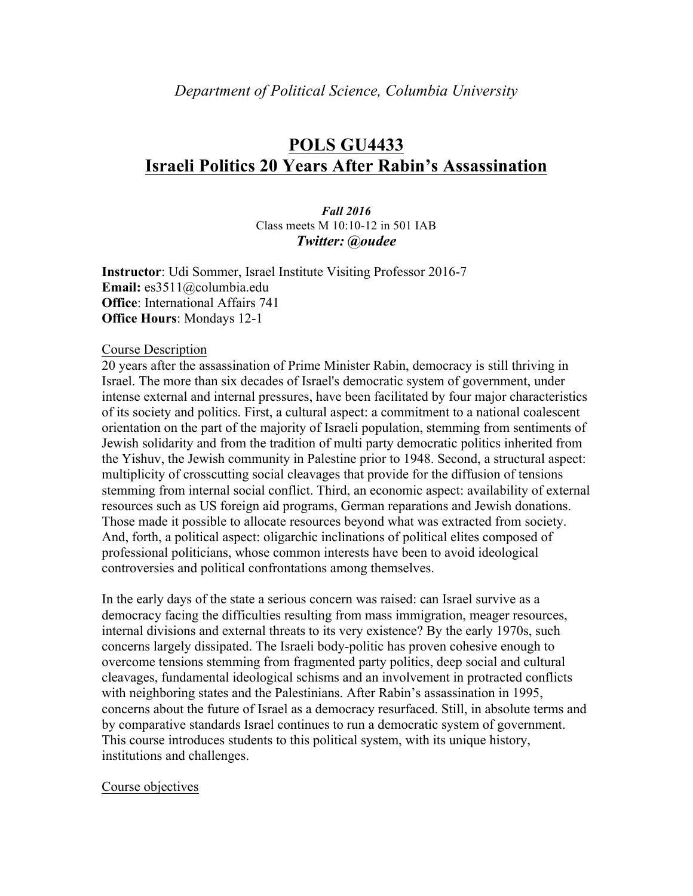# **POLS GU4433 Israeli Politics 20 Years After Rabin's Assassination**

*Fall 2016* Class meets M 10:10-12 in 501 IAB *Twitter: @oudee*

**Instructor**: Udi Sommer, Israel Institute Visiting Professor 2016-7 **Email:** es3511@columbia.edu **Office**: International Affairs 741 **Office Hours**: Mondays 12-1

#### Course Description

20 years after the assassination of Prime Minister Rabin, democracy is still thriving in Israel. The more than six decades of Israel's democratic system of government, under intense external and internal pressures, have been facilitated by four major characteristics of its society and politics. First, a cultural aspect: a commitment to a national coalescent orientation on the part of the majority of Israeli population, stemming from sentiments of Jewish solidarity and from the tradition of multi party democratic politics inherited from the Yishuv, the Jewish community in Palestine prior to 1948. Second, a structural aspect: multiplicity of crosscutting social cleavages that provide for the diffusion of tensions stemming from internal social conflict. Third, an economic aspect: availability of external resources such as US foreign aid programs, German reparations and Jewish donations. Those made it possible to allocate resources beyond what was extracted from society. And, forth, a political aspect: oligarchic inclinations of political elites composed of professional politicians, whose common interests have been to avoid ideological controversies and political confrontations among themselves.

In the early days of the state a serious concern was raised: can Israel survive as a democracy facing the difficulties resulting from mass immigration, meager resources, internal divisions and external threats to its very existence? By the early 1970s, such concerns largely dissipated. The Israeli body-politic has proven cohesive enough to overcome tensions stemming from fragmented party politics, deep social and cultural cleavages, fundamental ideological schisms and an involvement in protracted conflicts with neighboring states and the Palestinians. After Rabin's assassination in 1995, concerns about the future of Israel as a democracy resurfaced. Still, in absolute terms and by comparative standards Israel continues to run a democratic system of government. This course introduces students to this political system, with its unique history, institutions and challenges.

#### Course objectives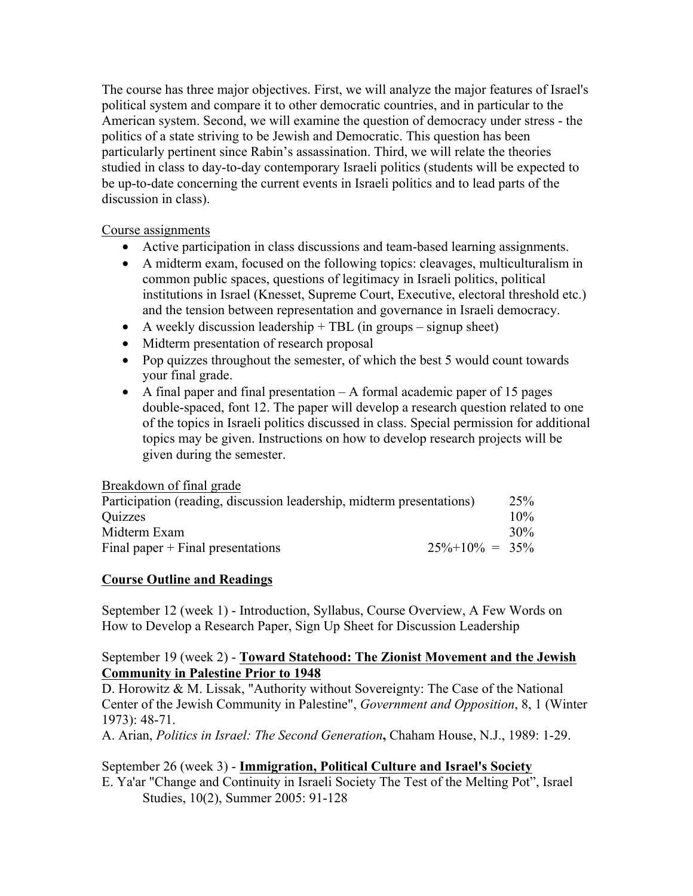The course has three major objectives. First, we will analyze the major features of Israel's political system and compare it to other democratic countries, and in particular to the American system. Second, we will examine the question of democracy under stress - the politics of a state striving to be Jewish and Democratic. This question has been particularly pertinent since Rabin's assassination. Third, we will relate the theories studied in class to day-to-day contemporary Israeli politics (students will be expected to be up-to-date concerning the current events in Israeli politics and to lead parts of the discussion in class).

### Course assignments

- Active participation in class discussions and team-based learning assignments.
- A midterm exam, focused on the following topics: cleavages, multiculturalism in common public spaces, questions of legitimacy in Israeli politics, political institutions in Israel (Knesset, Supreme Court, Executive, electoral threshold etc.) and the tension between representation and governance in Israeli democracy.
- A weekly discussion leadership  $+$  TBL (in groups signup sheet)
- Midterm presentation of research proposal
- Pop quizzes throughout the semester, of which the best 5 would count towards your final grade.
- A final paper and final presentation A formal academic paper of 15 pages double-spaced, font 12. The paper will develop a research question related to one of the topics in Israeli politics discussed in class. Special permission for additional topics may be given. Instructions on how to develop research projects will be given during the semester.

#### Breakdown of final grade

| Participation (reading, discussion leadership, midterm presentations) |                      | 25 <sup>%</sup> |
|-----------------------------------------------------------------------|----------------------|-----------------|
| <b>Ouizzes</b>                                                        |                      | $10\%$          |
| Midterm Exam                                                          |                      | 30%             |
| Final paper $+$ Final presentations                                   | $25\% + 10\% = 35\%$ |                 |

# **Course Outline and Readings**

September 12 (week 1) - Introduction, Syllabus, Course Overview, A Few Words on How to Develop a Research Paper, Sign Up Sheet for Discussion Leadership

#### September 19 (week 2) - **Toward Statehood: The Zionist Movement and the Jewish Community in Palestine Prior to 1948**

D. Horowitz & M. Lissak, "Authority without Sovereignty: The Case of the National Center of the Jewish Community in Palestine", *Government and Opposition*, 8, 1 (Winter 1973): 48-71.

A. Arian, *Politics in Israel: The Second Generation***,** Chaham House, N.J., 1989: 1-29.

September 26 (week 3) - **Immigration, Political Culture and Israel's Society** E. Ya'ar "Change and Continuity in Israeli Society The Test of the Melting Pot", Israel Studies, 10(2), Summer 2005: 91-128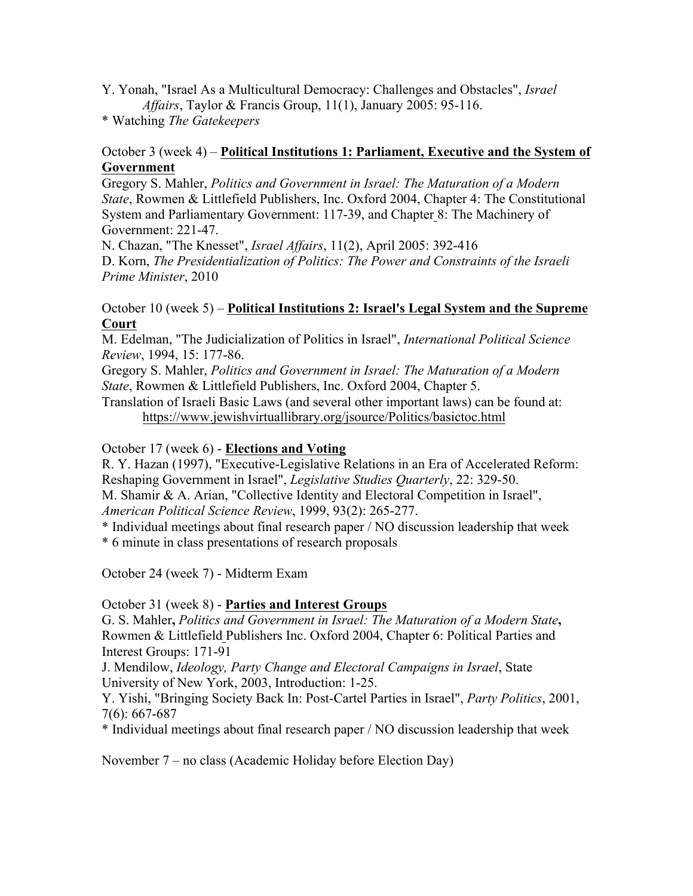Y. Yonah, "Israel As a Multicultural Democracy: Challenges and Obstacles", *Israel Affairs*, Taylor & Francis Group, 11(1), January 2005: 95-116.

\* Watching *The Gatekeepers*

# October 3 (week 4) – **Political Institutions 1: Parliament, Executive and the System of Government**

Gregory S. Mahler, *Politics and Government in Israel: The Maturation of a Modern State*, Rowmen & Littlefield Publishers, Inc. Oxford 2004, Chapter 4: The Constitutional System and Parliamentary Government: 117-39, and Chapter 8: The Machinery of Government: 221-47.

N. Chazan, "The Knesset", *Israel Affairs*, 11(2), April 2005: 392-416 D. Korn, *The Presidentialization of Politics: The Power and Constraints of the Israeli Prime Minister*, 2010

## October 10 (week 5) – **Political Institutions 2: Israel's Legal System and the Supreme Court**

M. Edelman, "The Judicialization of Politics in Israel", *International Political Science Review*, 1994, 15: 177-86.

Gregory S. Mahler, *Politics and Government in Israel: The Maturation of a Modern State*, Rowmen & Littlefield Publishers, Inc. Oxford 2004, Chapter 5.

Translation of Israeli Basic Laws (and several other important laws) can be found at: https://www.jewishvirtuallibrary.org/jsource/Politics/basictoc.html

# October 17 (week 6) - **Elections and Voting**

R. Y. Hazan (1997), "Executive-Legislative Relations in an Era of Accelerated Reform: Reshaping Government in Israel", *Legislative Studies Quarterly*, 22: 329-50. M. Shamir & A. Arian, "Collective Identity and Electoral Competition in Israel",

*American Political Science Review*, 1999, 93(2): 265-277.

\* Individual meetings about final research paper / NO discussion leadership that week

\* 6 minute in class presentations of research proposals

October 24 (week 7) - Midterm Exam

October 31 (week 8) - **Parties and Interest Groups**

G. S. Mahler**,** *Politics and Government in Israel: The Maturation of a Modern State***,**  Rowmen & Littlefield Publishers Inc. Oxford 2004, Chapter 6: Political Parties and Interest Groups: 171-91

J. Mendilow, *Ideology, Party Change and Electoral Campaigns in Israel*, State University of New York, 2003, Introduction: 1-25.

Y. Yishi, "Bringing Society Back In: Post-Cartel Parties in Israel", *Party Politics*, 2001, 7(6): 667-687

\* Individual meetings about final research paper / NO discussion leadership that week

November 7 – no class (Academic Holiday before Election Day)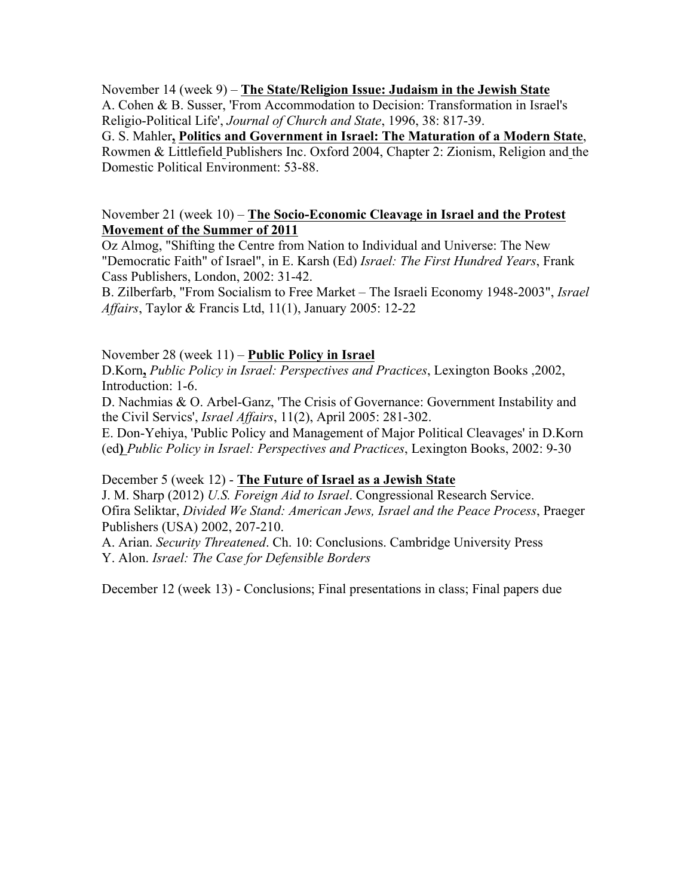November 14 (week 9) – **The State/Religion Issue: Judaism in the Jewish State** A. Cohen & B. Susser, 'From Accommodation to Decision: Transformation in Israel's Religio-Political Life', *Journal of Church and State*, 1996, 38: 817-39. G. S. Mahler**, Politics and Government in Israel: The Maturation of a Modern State**, Rowmen & Littlefield Publishers Inc. Oxford 2004, Chapter 2: Zionism, Religion and the Domestic Political Environment: 53-88.

#### November 21 (week 10) – **The Socio-Economic Cleavage in Israel and the Protest Movement of the Summer of 2011**

Oz Almog, "Shifting the Centre from Nation to Individual and Universe: The New "Democratic Faith" of Israel", in E. Karsh (Ed) *Israel: The First Hundred Years*, Frank Cass Publishers, London, 2002: 31-42.

B. Zilberfarb, "From Socialism to Free Market – The Israeli Economy 1948-2003", *Israel Affairs*, Taylor & Francis Ltd, 11(1), January 2005: 12-22

#### November 28 (week 11) – **Public Policy in Israel**

D.Korn**,** *Public Policy in Israel: Perspectives and Practices*, Lexington Books ,2002, Introduction: 1-6.

D. Nachmias & O. Arbel-Ganz, 'The Crisis of Governance: Government Instability and the Civil Servics', *Israel Affairs*, 11(2), April 2005: 281-302.

E. Don-Yehiya, 'Public Policy and Management of Major Political Cleavages' in D.Korn (ed**)** *Public Policy in Israel: Perspectives and Practices*, Lexington Books, 2002: 9-30

# December 5 (week 12) - **The Future of Israel as a Jewish State**

J. M. Sharp (2012) *U.S. Foreign Aid to Israel*. Congressional Research Service. Ofira Seliktar, *Divided We Stand: American Jews, Israel and the Peace Process*, Praeger Publishers (USA) 2002, 207-210.

A. Arian. *Security Threatened*. Ch. 10: Conclusions. Cambridge University Press Y. Alon. *Israel: The Case for Defensible Borders*

December 12 (week 13) - Conclusions; Final presentations in class; Final papers due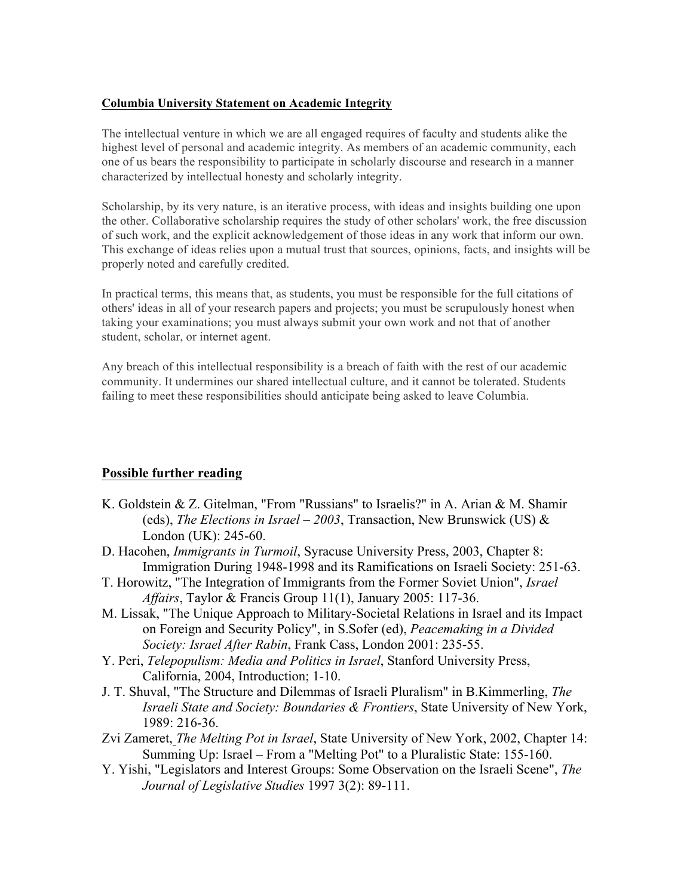#### **Columbia University Statement on Academic Integrity**

The intellectual venture in which we are all engaged requires of faculty and students alike the highest level of personal and academic integrity. As members of an academic community, each one of us bears the responsibility to participate in scholarly discourse and research in a manner characterized by intellectual honesty and scholarly integrity.

Scholarship, by its very nature, is an iterative process, with ideas and insights building one upon the other. Collaborative scholarship requires the study of other scholars' work, the free discussion of such work, and the explicit acknowledgement of those ideas in any work that inform our own. This exchange of ideas relies upon a mutual trust that sources, opinions, facts, and insights will be properly noted and carefully credited.

In practical terms, this means that, as students, you must be responsible for the full citations of others' ideas in all of your research papers and projects; you must be scrupulously honest when taking your examinations; you must always submit your own work and not that of another student, scholar, or internet agent.

Any breach of this intellectual responsibility is a breach of faith with the rest of our academic community. It undermines our shared intellectual culture, and it cannot be tolerated. Students failing to meet these responsibilities should anticipate being asked to leave Columbia.

# **Possible further reading**

- K. Goldstein & Z. Gitelman, "From "Russians" to Israelis?" in A. Arian & M. Shamir (eds), *The Elections in Israel – 2003*, Transaction, New Brunswick (US) & London (UK): 245-60.
- D. Hacohen, *Immigrants in Turmoil*, Syracuse University Press, 2003, Chapter 8: Immigration During 1948-1998 and its Ramifications on Israeli Society: 251-63.
- T. Horowitz, "The Integration of Immigrants from the Former Soviet Union", *Israel Affairs*, Taylor & Francis Group 11(1), January 2005: 117-36.
- M. Lissak, "The Unique Approach to Military-Societal Relations in Israel and its Impact on Foreign and Security Policy", in S.Sofer (ed), *Peacemaking in a Divided Society: Israel After Rabin*, Frank Cass, London 2001: 235-55.
- Y. Peri, *Telepopulism: Media and Politics in Israel*, Stanford University Press, California, 2004, Introduction; 1-10.
- J. T. Shuval, "The Structure and Dilemmas of Israeli Pluralism" in B.Kimmerling, *The Israeli State and Society: Boundaries & Frontiers*, State University of New York, 1989: 216-36.
- Zvi Zameret, *The Melting Pot in Israel*, State University of New York, 2002, Chapter 14: Summing Up: Israel – From a "Melting Pot" to a Pluralistic State: 155-160.
- Y. Yishi, "Legislators and Interest Groups: Some Observation on the Israeli Scene", *The Journal of Legislative Studies* 1997 3(2): 89-111.